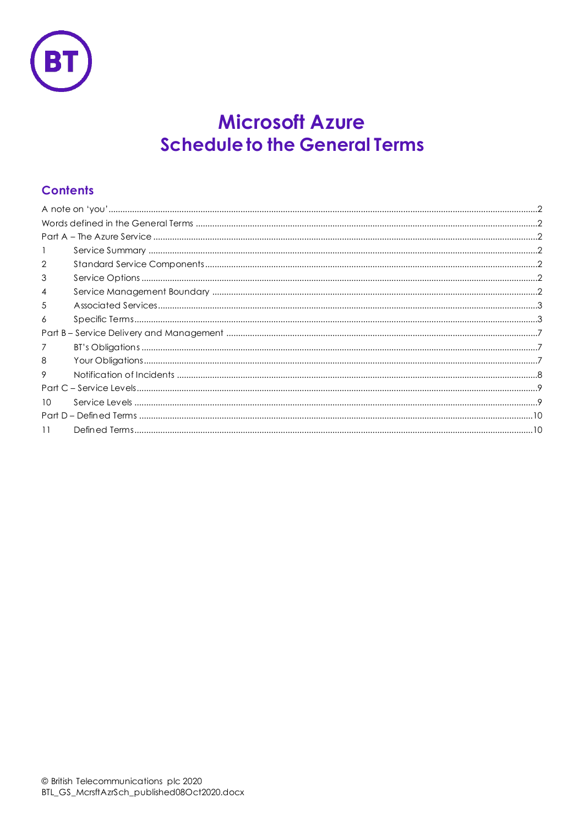

# **Microsoft Azure Schedule to the General Terms**

# **Contents**

| 2  |  |
|----|--|
| 3  |  |
| 4  |  |
| 5  |  |
| 6  |  |
|    |  |
| 7  |  |
| 8  |  |
| 9  |  |
|    |  |
| 10 |  |
|    |  |
| 11 |  |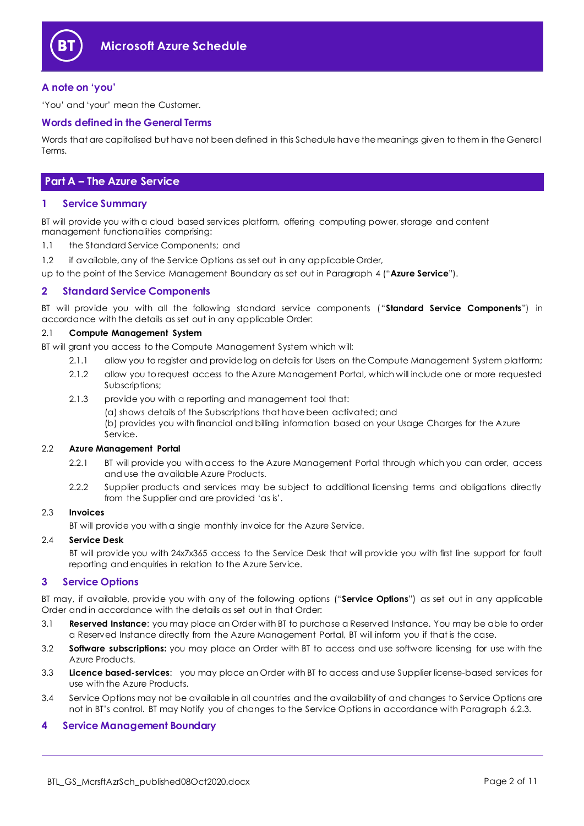

### <span id="page-1-0"></span>**A note on 'you'**

'You' and 'your' mean the Customer.

#### <span id="page-1-1"></span>**Words defined in the General Terms**

Words that are capitalised but have not been defined in this Schedule have the meanings given to them in the General Terms.

### <span id="page-1-2"></span>**Part A – The Azure Service**

#### <span id="page-1-3"></span>**1 Service Summary**

BT will provide you with a cloud based services platform, offering computing power, storage and content management functionalities comprising:

- 1.1 the Standard Service Components; and
- 1.2 if available, any of the Service Options as set out in any applicable Order,

up to the point of the Service Management Boundary as set out in Paragraph [4](#page-1-6) ("**Azure Service**").

#### <span id="page-1-4"></span>**2 Standard Service Components**

BT will provide you with all the following standard service components ("**Standard Service Components**") in accordance with the details as set out in any applicable Order:

#### 2.1 **Compute Management System**

BT will grant you access to the Compute Management System which will:

- 2.1.1 allow you to register and provide log on details for Users on the Compute Management System platform;
- 2.1.2 allow you to request access to the Azure Management Portal, which will include one or more requested Subscriptions;
- 2.1.3 provide you with a reporting and management tool that:

(a) shows details of the Subscriptions that have been activated; and

(b) provides you with financial and billing information based on your Usage Charges for the Azure Service.

#### 2.2 **Azure Management Portal**

- 2.2.1 BT will provide you with access to the Azure Management Portal through which you can order, access and use the available Azure Products.
- 2.2.2 Supplier products and services may be subject to additional licensing terms and obligations directly from the Supplier and are provided 'as is'.

#### 2.3 **Invoices**

BT will provide you with a single monthly invoice for the Azure Service.

#### 2.4 **Service Desk**

BT will provide you with 24x7x365 access to the Service Desk that will provide you with first line support for fault reporting and enquiries in relation to the Azure Service.

#### <span id="page-1-5"></span>**3 Service Options**

BT may, if available, provide you with any of the following options ("**Service Options**") as set out in any applicable Order and in accordance with the details as set out in that Order:

- 3.1 **Reserved Instance**: you may place an Order with BT to purchase a Reserved Instance. You may be able to order a Reserved Instance directly from the Azure Management Portal, BT will inform you if that is the case.
- 3.2 **Software subscriptions:** you may place an Order with BT to access and use software licensing for use with the Azure Products.
- 3.3 **Licence based-services**: you may place an Order with BT to access and use Supplier license-based services for use with the Azure Products.
- 3.4 Service Options may not be available in all countries and the availability of and changes to Service Options are not in BT's control. BT may Notify you of changes to the Service Options in accordance with Paragraph [6.2.3.](#page-2-2)

#### <span id="page-1-6"></span>**4 Service Management Boundary**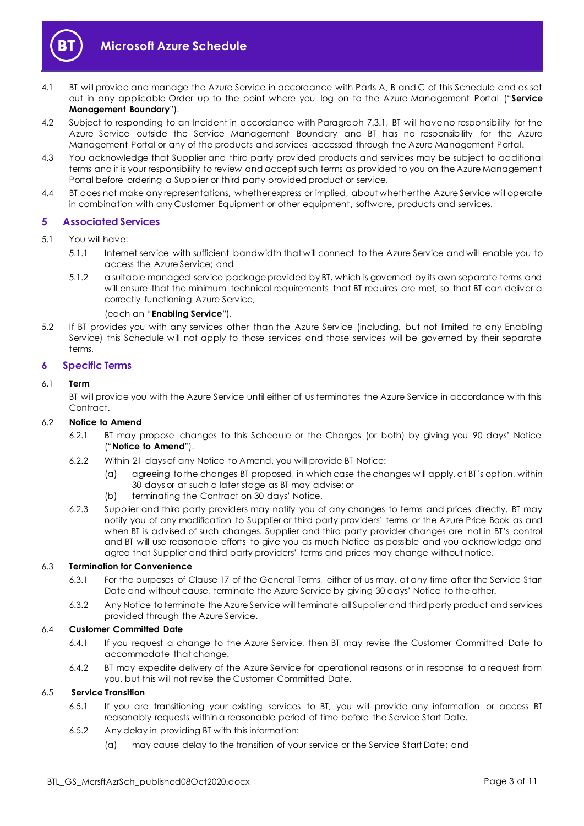



- <span id="page-2-4"></span>4.1 BT will provide and manage the Azure Service in accordance with Parts A, B and C of this Schedule and as set out in any applicable Order up to the point where you log on to the Azure Management Portal ("**Service Management Boundary**").
- 4.2 Subject to responding to an Incident in accordance with Paragraph [7.3.1,](#page-6-3) BT will have no responsibility for the Azure Service outside the Service Management Boundary and BT has no responsibility for the Azure Management Portal or any of the products and services accessed through the Azure Management Portal.
- 4.3 You acknowledge that Supplier and third party provided products and services may be subject to additional terms and it is your responsibility to review and accept such terms as provided to you on the Azure Management Portal before ordering a Supplier or third party provided product or service.
- 4.4 BT does not make any representations, whether express or implied, about whether the Azure Service will operate in combination with any Customer Equipment or other equipment, software, products and services.

#### <span id="page-2-0"></span>**5 Associated Services**

- <span id="page-2-3"></span>5.1 You will have:
	- 5.1.1 Internet service with sufficient bandwidth that will connect to the Azure Service and will enable you to access the Azure Service; and
	- 5.1.2 a suitable managed service package provided by BT, which is governed by its own separate terms and will ensure that the minimum technical requirements that BT requires are met, so that BT can deliver a correctly functioning Azure Service,

(each an "**Enabling Service**").

5.2 If BT provides you with any services other than the Azure Service (including, but not limited to any Enabling Service) this Schedule will not apply to those services and those services will be governed by their separate terms.

#### <span id="page-2-1"></span>**6 Specific Terms**

#### 6.1 **Term**

BT will provide you with the Azure Service until either of us terminates the Azure Service in accordance with this Contract.

#### 6.2 **Notice to Amend**

- 6.2.1 BT may propose changes to this Schedule or the Charges (or both) by giving you 90 days' Notice ("**Notice to Amend**").
- 6.2.2 Within 21 days of any Notice to Amend, you will provide BT Notice:
	- (a) agreeing to the changes BT proposed, in which case the changes will apply, at BT's option, within 30 days or at such a later stage as BT may advise; or
	- (b) terminating the Contract on 30 days' Notice.
- <span id="page-2-2"></span>6.2.3 Supplier and third party providers may notify you of any changes to terms and prices directly. BT may notify you of any modification to Supplier or third party providers' terms or the Azure Price Book as and when BT is advised of such changes. Supplier and third party provider changes are not in BT's control and BT will use reasonable efforts to give you as much Notice as possible and you acknowledge and agree that Supplier and third party providers' terms and prices may change without notice.

#### 6.3 **Termination for Convenience**

- 6.3.1 For the purposes of Clause 17 of the General Terms, either of us may, at any time after the Service Start Date and without cause, terminate the Azure Service by giving 30 days' Notice to the other.
- 6.3.2 Any Notice to terminate the Azure Service will terminate all Supplier and third party product and services provided through the Azure Service.

#### 6.4 **Customer Committed Date**

- 6.4.1 If you request a change to the Azure Service, then BT may revise the Customer Committed Date to accommodate that change.
- 6.4.2 BT may expedite delivery of the Azure Service for operational reasons or in response to a request from you, but this will not revise the Customer Committed Date.

#### 6.5 **Service Transition**

- 6.5.1 If you are transitioning your existing services to BT, you will provide any information or access BT reasonably requests within a reasonable period of time before the Service Start Date.
- 6.5.2 Any delay in providing BT with this information:
	- (a) may cause delay to the transition of your service or the Service Start Date; and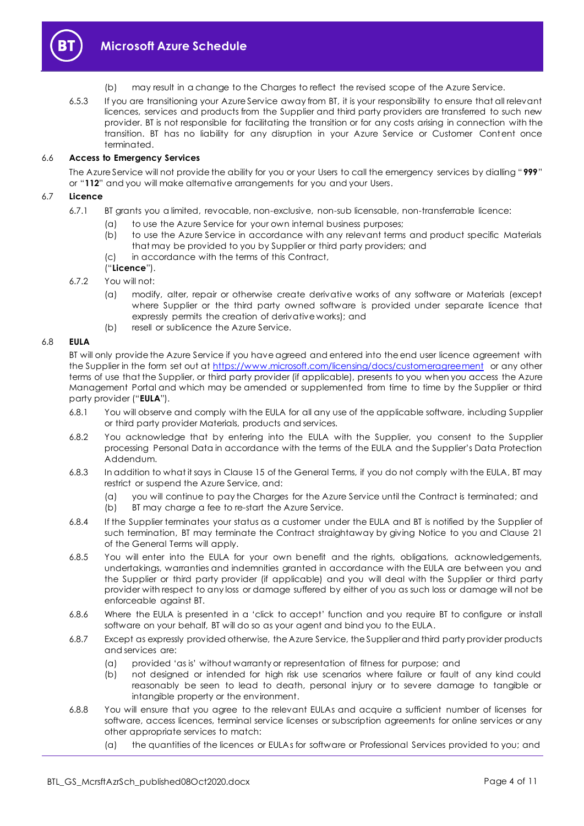

- (b) may result in a change to the Charges to reflect the revised scope of the Azure Service.
- 6.5.3 If you are transitioning your Azure Service away from BT, it is your responsibility to ensure that all relevant licences, services and products from the Supplier and third party providers are transferred to such new provider. BT is not responsible for facilitating the transition or for any costs arising in connection with the transition. BT has no liability for any disruption in your Azure Service or Customer Content once terminated.

#### 6.6 **Access to Emergency Services**

The Azure Service will not provide the ability for you or your Users to call the emergency services by dialling "**999**" or "**112**" and you will make alternative arrangements for you and your Users.

#### 6.7 **Licence**

- 6.7.1 BT grants you a limited, revocable, non-exclusive, non-sub licensable, non-transferrable licence:
	- (a) to use the Azure Service for your own internal business purposes;
	- (b) to use the Azure Service in accordance with any relevant terms and product specific Materials that may be provided to you by Supplier or third party providers; and
	- (c) in accordance with the terms of this Contract,

#### ("**Licence**").

- 6.7.2 You will not:
	- (a) modify, alter, repair or otherwise create derivative works of any software or Materials (except where Supplier or the third party owned software is provided under separate licence that expressly permits the creation of derivative works); and
	- (b) resell or sublicence the Azure Service.

#### <span id="page-3-0"></span>6.8 **EULA**

BT will only provide the Azure Service if you have agreed and entered into the end user licence agreement with the Supplier in the form set out at<https://www.microsoft.com/licensing/docs/customeragreement> or any other terms of use that the Supplier, or third party provider (if applicable), presents to you when you access the Azure Management Portal and which may be amended or supplemented from time to time by the Supplier or third party provider ("**EULA**").

- 6.8.1 You will observe and comply with the EULA for all any use of the applicable software, including Supplier or third party provider Materials, products and services.
- 6.8.2 You acknowledge that by entering into the EULA with the Supplier, you consent to the Supplier processing Personal Data in accordance with the terms of the EULA and the Supplier's Data Protection Addendum.
- 6.8.3 In addition to what it says in Clause 15 of the General Terms, if you do not comply with the EULA, BT may restrict or suspend the Azure Service, and:
	- (a) you will continue to pay the Charges for the Azure Service until the Contract is terminated; and
	- (b) BT may charge a fee to re-start the Azure Service.
- 6.8.4 If the Supplier terminates your status as a customer under the EULA and BT is notified by the Supplier of such termination, BT may terminate the Contract straightaway by giving Notice to you and Clause 21 of the General Terms will apply.
- 6.8.5 You will enter into the EULA for your own benefit and the rights, obligations, acknowledgements, undertakings, warranties and indemnities granted in accordance with the EULA are between you and the Supplier or third party provider (if applicable) and you will deal with the Supplier or third party provider with respect to any loss or damage suffered by either of you as such loss or damage will not be enforceable against BT.
- 6.8.6 Where the EULA is presented in a 'click to accept' function and you require BT to configure or install software on your behalf, BT will do so as your agent and bind you to the EULA.
- 6.8.7 Except as expressly provided otherwise, the Azure Service, the Supplier and third party provider products and services are:
	- (a) provided 'as is' without warranty or representation of fitness for purpose; and
	- (b) not designed or intended for high risk use scenarios where failure or fault of any kind could reasonably be seen to lead to death, personal injury or to severe damage to tangible or intangible property or the environment.
- 6.8.8 You will ensure that you agree to the relevant EULAs and acquire a sufficient number of licenses for software, access licences, terminal service licenses or subscription agreements for online services or any other appropriate services to match:
	- (a) the quantities of the licences or EULAs for software or Professional Services provided to you; and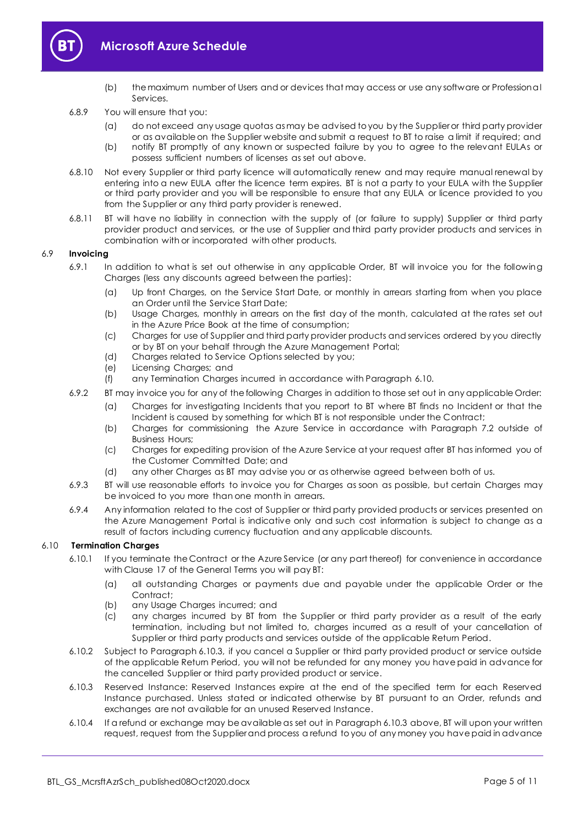

# **Microsoft Azure Schedule**

- (b) the maximum number of Users and or devices that may access or use any software or Professional Services.
- 6.8.9 You will ensure that you:
	- (a) do not exceed any usage quotas as may be advised to you by the Supplier or third party provider or as available on the Supplier website and submit a request to BT to raise a limit if required; and
	- (b) notify BT promptly of any known or suspected failure by you to agree to the relevant EULAs or possess sufficient numbers of licenses as set out above.
- 6.8.10 Not every Supplier or third party licence will automatically renew and may require manual renewal by entering into a new EULA after the licence term expires. BT is not a party to your EULA with the Supplier or third party provider and you will be responsible to ensure that any EULA or licence provided to you from the Supplier or any third party provider is renewed.
- 6.8.11 BT will have no liability in connection with the supply of (or failure to supply) Supplier or third party provider product and services, or the use of Supplier and third party provider products and services in combination with or incorporated with other products.

#### 6.9 **Invoicing**

- 6.9.1 In addition to what is set out otherwise in any applicable Order, BT will invoice you for the following Charges (less any discounts agreed between the parties):
	- (a) Up front Charges, on the Service Start Date, or monthly in arrears starting from when you place an Order until the Service Start Date;
	- (b) Usage Charges, monthly in arrears on the first day of the month, calculated at the rates set out in the Azure Price Book at the time of consumption;
	- (c) Charges for use of Supplier and third party provider products and services ordered by you directly or by BT on your behalf through the Azure Management Portal;
	- (d) Charges related to Service Options selected by you;
	- (e) Licensing Charges; and
	- (f) any Termination Charges incurred in accordance with Paragraph [6.10.](#page-4-0)
- 6.9.2 BT may invoice you for any of the following Charges in addition to those set out in any applicable Order:
	- (a) Charges for investigating Incidents that you report to BT where BT finds no Incident or that the Incident is caused by something for which BT is not responsible under the Contract;
	- (b) Charges for commissioning the Azure Service in accordance with Paragraph [7.2](#page-6-4) outside of Business Hours;
	- (c) Charges for expediting provision of the Azure Service at your request after BT has informed you of the Customer Committed Date; and
	- (d) any other Charges as BT may advise you or as otherwise agreed between both of us.
- 6.9.3 BT will use reasonable efforts to invoice you for Charges as soon as possible, but certain Charges may be invoiced to you more than one month in arrears.
- 6.9.4 Any information related to the cost of Supplier or third party provided products or services presented on the Azure Management Portal is indicative only and such cost information is subject to change as a result of factors including currency fluctuation and any applicable discounts.

#### <span id="page-4-0"></span>6.10 **Termination Charges**

- 6.10.1 If you terminate the Contract or the Azure Service (or any part thereof) for convenience in accordance with Clause 17 of the General Terms you will pay BT:
	- (a) all outstanding Charges or payments due and payable under the applicable Order or the Contract;
	- (b) any Usage Charges incurred; and
	- (c) any charges incurred by BT from the Supplier or third party provider as a result of the early termination, including but not limited to, charges incurred as a result of your cancellation of Supplier or third party products and services outside of the applicable Return Period.
- 6.10.2 Subject to Paragrap[h 6.10.3,](#page-4-1) if you cancel a Supplier or third party provided product or service outside of the applicable Return Period, you will not be refunded for any money you have paid in advance for the cancelled Supplier or third party provided product or service.
- <span id="page-4-1"></span>6.10.3 Reserved Instance: Reserved Instances expire at the end of the specified term for each Reserved Instance purchased. Unless stated or indicated otherwise by BT pursuant to an Order, refunds and exchanges are not available for an unused Reserved Instance.
- 6.10.4 If a refund or exchange may be available as set out in Paragrap[h 6.10.3](#page-4-1) above, BT will upon your written request, request from the Supplier and process a refund to you of any money you have paid in advance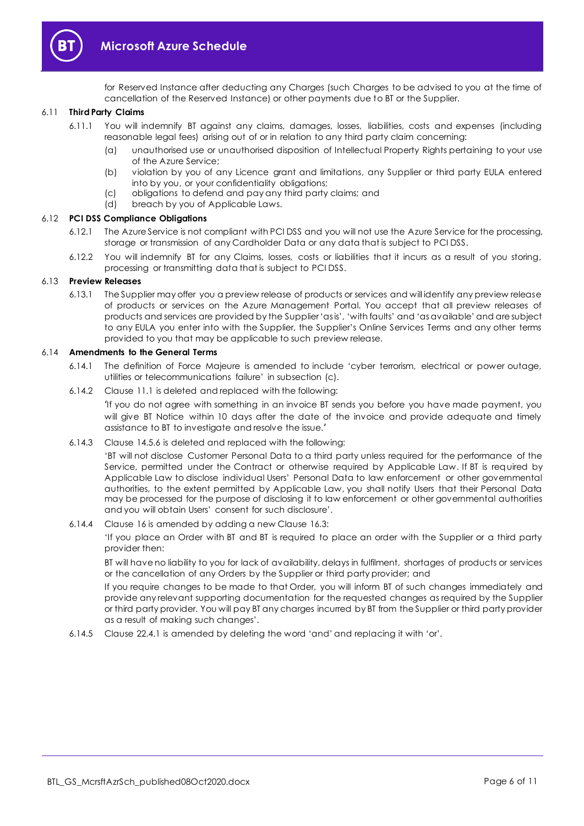

# **Microsoft Azure Schedule**

for Reserved Instance after deducting any Charges (such Charges to be advised to you at the time of cancellation of the Reserved Instance) or other payments due to BT or the Supplier.

#### 6.11 **Third Party Claims**

- 6.11.1 You will indemnify BT against any claims, damages, losses, liabilities, costs and expenses (including reasonable legal fees) arising out of or in relation to any third party claim concerning:
	- (a) unauthorised use or unauthorised disposition of Intellectual Property Rights pertaining to your use of the Azure Service;
	- (b) violation by you of any Licence grant and limitations, any Supplier or third party EULA entered into by you, or your confidentiality obligations;
	- (c) obligations to defend and pay any third party claims; and
	- (d) breach by you of Applicable Laws.

#### 6.12 **PCI DSS Compliance Obligations**

- 6.12.1 The Azure Service is not compliant with PCI DSS and you will not use the Azure Service for the processing, storage or transmission of any Cardholder Data or any data that is subject to PCI DSS.
- 6.12.2 You will indemnify BT for any Claims, losses, costs or liabilities that it incurs as a result of you storing, processing or transmitting data that is subject to PCI DSS.

#### 6.13 **Preview Releases**

6.13.1 The Supplier may offer you a preview release of products or services and will identify any preview release of products or services on the Azure Management Portal. You accept that all preview releases of products and services are provided by the Supplier 'as is', 'with faults' and 'as available' and are subject to any EULA you enter into with the Supplier, the Supplier's Online Services Terms and any other terms provided to you that may be applicable to such preview release.

#### 6.14 **Amendments to the General Terms**

- 6.14.1 The definition of Force Majeure is amended to include 'cyber terrorism, electrical or power outage, utilities or telecommunications failure' in subsection (c).
- 6.14.2 Clause 11.1 is deleted and replaced with the following:

'If you do not agree with something in an invoice BT sends you before you have made payment, you will give BT Notice within 10 days after the date of the invoice and provide adequate and timely assistance to BT to investigate and resolve the issue.'

6.14.3 Clause 14.5.6 is deleted and replaced with the following:

'BT will not disclose Customer Personal Data to a third party unless required for the performance of the Service, permitted under the Contract or otherwise required by Applicable Law. If BT is required by Applicable Law to disclose individual Users' Personal Data to law enforcement or other governmental authorities, to the extent permitted by Applicable Law, you shall notify Users that their Personal Data may be processed for the purpose of disclosing it to law enforcement or other governmental authorities and you will obtain Users' consent for such disclosure'.

6.14.4 Clause 16 is amended by adding a new Clause 16.3:

'If you place an Order with BT and BT is required to place an order with the Supplier or a third party provider then:

BT will have no liability to you for lack of availability, delays in fulfilment, shortages of products or services or the cancellation of any Orders by the Supplier or third party provider; and

If you require changes to be made to that Order, you will inform BT of such changes immediately and provide any relevant supporting documentation for the requested changes as required by the Supplier or third party provider. You will pay BT any charges incurred by BT from the Supplier or third party provider as a result of making such changes'.

6.14.5 Clause 22.4.1 is amended by deleting the word 'and' and replacing it with 'or'.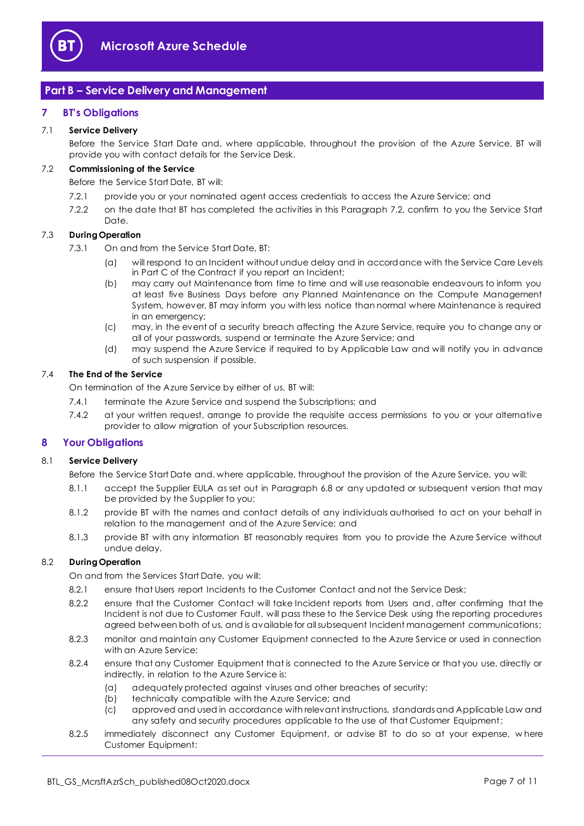

# <span id="page-6-0"></span>**Part B – Service Delivery and Management**

#### <span id="page-6-1"></span>**7 BT's Obligations**

#### 7.1 **Service Delivery**

Before the Service Start Date and, where applicable, throughout the provision of the Azure Service, BT will provide you with contact details for the Service Desk.

### <span id="page-6-4"></span>7.2 **Commissioning of the Service**

Before the Service Start Date, BT will:

- 7.2.1 provide you or your nominated agent access credentials to access the Azure Service; and
- 7.2.2 on the date that BT has completed the activities in this Paragraph [7.2,](#page-6-4) confirm to you the Service Start Date.

#### <span id="page-6-3"></span>7.3 **During Operation**

- 7.3.1 On and from the Service Start Date, BT:
	- (a) will respond to an Incident without undue delay and in accordance with the Service Care Levels in Part C of the Contract if you report an Incident;
	- (b) may carry out Maintenance from time to time and will use reasonable endeavours to inform you at least five Business Days before any Planned Maintenance on the Compute Management System, however, BT may inform you with less notice than normal where Maintenance is required in an emergency;
	- (c) may, in the event of a security breach affecting the Azure Service, require you to change any or all of your passwords, suspend or terminate the Azure Service; and
	- (d) may suspend the Azure Service if required to by Applicable Law and will notify you in advance of such suspension if possible.

#### 7.4 **The End of the Service**

On termination of the Azure Service by either of us, BT will:

- 7.4.1 terminate the Azure Service and suspend the Subscriptions; and
- 7.4.2 at your written request, arrange to provide the requisite access permissions to you or your alternative provider to allow migration of your Subscription resources.

#### <span id="page-6-2"></span>**8 Your Obligations**

#### 8.1 **Service Delivery**

Before the Service Start Date and, where applicable, throughout the provision of the Azure Service, you will:

- 8.1.1 accept the Supplier EULA as set out in Paragraph [6.8](#page-3-0) or any updated or subsequent version that may be provided by the Supplier to you;
- 8.1.2 provide BT with the names and contact details of any individuals authorised to act on your behalf in relation to the management and of the Azure Service; and
- 8.1.3 provide BT with any information BT reasonably requires from you to provide the Azure Service without undue delay.

#### 8.2 **During Operation**

On and from the Services Start Date, you will:

- 8.2.1 ensure that Users report Incidents to the Customer Contact and not the Service Desk;
- 8.2.2 ensure that the Customer Contact will take Incident reports from Users and, after confirming that the Incident is not due to Customer Fault, will pass these to the Service Desk using the reporting procedures agreed between both of us, and is available for all subsequent Incident management communications;
- 8.2.3 monitor and maintain any Customer Equipment connected to the Azure Service or used in connection with an Azure Service;
- 8.2.4 ensure that any Customer Equipment that is connected to the Azure Service or that you use, directly or indirectly, in relation to the Azure Service is:
	- (a) adequately protected against viruses and other breaches of security;
	- (b) technically compatible with the Azure Service; and
	- (c) approved and used in accordance with relevant instructions, standards and Applicable Law and any safety and security procedures applicable to the use of that Customer Equipment;
- 8.2.5 immediately disconnect any Customer Equipment, or advise BT to do so at your expense, w here Customer Equipment: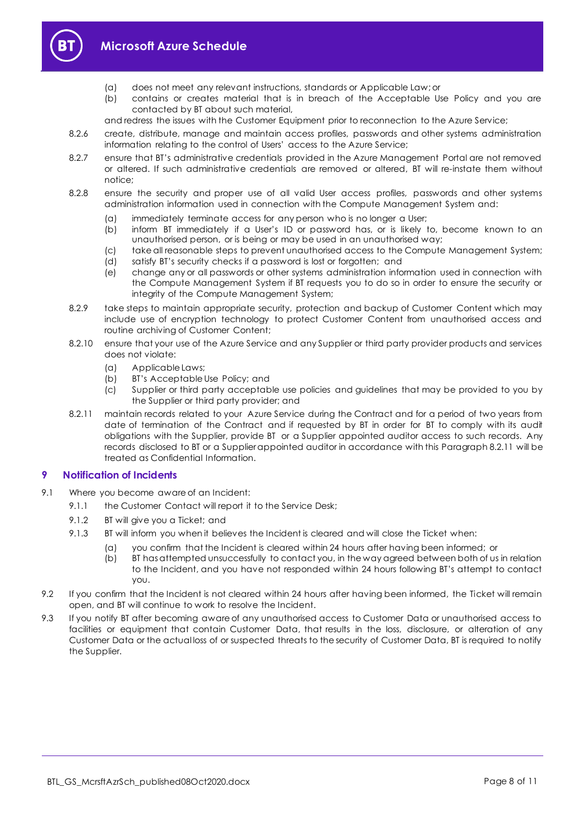

# **Microsoft Azure Schedule**

- (a) does not meet any relevant instructions, standards or Applicable Law; or
- (b) contains or creates material that is in breach of the Acceptable Use Policy and you are contacted by BT about such material,
- and redress the issues with the Customer Equipment prior to reconnection to the Azure Service;
- 8.2.6 create, distribute, manage and maintain access profiles, passwords and other systems administration information relating to the control of Users' access to the Azure Service;
- 8.2.7 ensure that BT's administrative credentials provided in the Azure Management Portal are not removed or altered. If such administrative credentials are removed or altered, BT will re-instate them without notice;
- 8.2.8 ensure the security and proper use of all valid User access profiles, passwords and other systems administration information used in connection with the Compute Management System and:
	- (a) immediately terminate access for any person who is no longer a User;
	- (b) inform BT immediately if a User's ID or password has, or is likely to, become known to an unauthorised person, or is being or may be used in an unauthorised way;
	- (c) take all reasonable steps to prevent unauthorised access to the Compute Management System;
	- (d) satisfy BT's security checks if a password is lost or forgotten; and
	- (e) change any or all passwords or other systems administration information used in connection with the Compute Management System if BT requests you to do so in order to ensure the security or integrity of the Compute Management System;
- 8.2.9 take steps to maintain appropriate security, protection and backup of Customer Content which may include use of encryption technology to protect Customer Content from unauthorised access and routine archiving of Customer Content;
- 8.2.10 ensure that your use of the Azure Service and any Supplier or third party provider products and services does not violate:
	- (a) Applicable Laws;
	- (b) BT's Acceptable Use Policy; and
	- (c) Supplier or third party acceptable use policies and guidelines that may be provided to you by the Supplier or third party provider; and
- <span id="page-7-1"></span>8.2.11 maintain records related to your Azure Service during the Contract and for a period of two years from date of termination of the Contract and if requested by BT in order for BT to comply with its audit obligations with the Supplier, provide BT or a Supplier appointed auditor access to such records. Any records disclosed to BT or a Supplier appointed auditor in accordance with this Paragrap[h 8.2.11](#page-7-1) will be treated as Confidential Information.

#### <span id="page-7-0"></span>**9 Notification of Incidents**

- 9.1 Where you become aware of an Incident:
	- 9.1.1 the Customer Contact will report it to the Service Desk;
	- 9.1.2 BT will give you a Ticket; and
	- 9.1.3 BT will inform you when it believes the Incident is cleared and will close the Ticket when:
		- (a) you confirm that the Incident is cleared within 24 hours after having been informed; or
		- (b) BT has attempted unsuccessfully to contact you, in the way agreed between both of us in relation to the Incident, and you have not responded within 24 hours following BT's attempt to contact you.
- 9.2 If you confirm that the Incident is not cleared within 24 hours after having been informed, the Ticket will remain open, and BT will continue to work to resolve the Incident.
- 9.3 If you notify BT after becoming aware of any unauthorised access to Customer Data or unauthorised access to facilities or equipment that contain Customer Data, that results in the loss, disclosure, or alteration of any Customer Data or the actual loss of or suspected threats to the security of Customer Data, BT is required to notify the Supplier.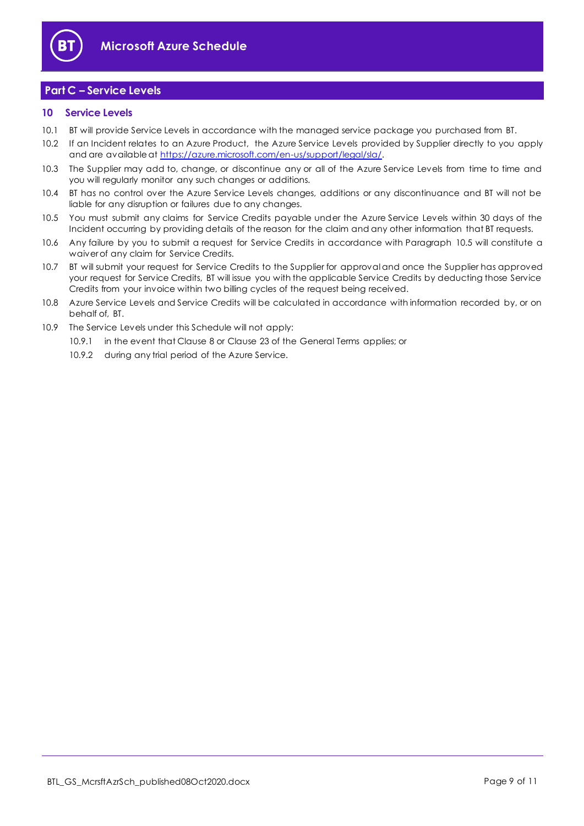

## <span id="page-8-0"></span>**Part C – Service Levels**

#### <span id="page-8-1"></span>**10 Service Levels**

- 10.1 BT will provide Service Levels in accordance with the managed service package you purchased from BT.
- 10.2 If an Incident relates to an Azure Product, the Azure Service Levels provided by Supplier directly to you apply and are available at [https://azure.microsoft.com/en-us/support/legal/sla/.](https://azure.microsoft.com/en-us/support/legal/sla/)
- 10.3 The Supplier may add to, change, or discontinue any or all of the Azure Service Levels from time to time and you will regularly monitor any such changes or additions.
- 10.4 BT has no control over the Azure Service Levels changes, additions or any discontinuance and BT will not be liable for any disruption or failures due to any changes.
- <span id="page-8-2"></span>10.5 You must submit any claims for Service Credits payable under the Azure Service Levels within 30 days of the Incident occurring by providing details of the reason for the claim and any other information that BT requests.
- 10.6 Any failure by you to submit a request for Service Credits in accordance with Paragraph [10.5](#page-8-2) will constitute a waiver of any claim for Service Credits.
- 10.7 BT will submit your request for Service Credits to the Supplier for approval and once the Supplier has approved your request for Service Credits, BT will issue you with the applicable Service Credits by deducting those Service Credits from your invoice within two billing cycles of the request being received.
- 10.8 Azure Service Levels and Service Credits will be calculated in accordance with information recorded by, or on behalf of, BT.
- 10.9 The Service Levels under this Schedule will not apply:
	- 10.9.1 in the event that Clause 8 or Clause 23 of the General Terms applies; or
		- 10.9.2 during any trial period of the Azure Service.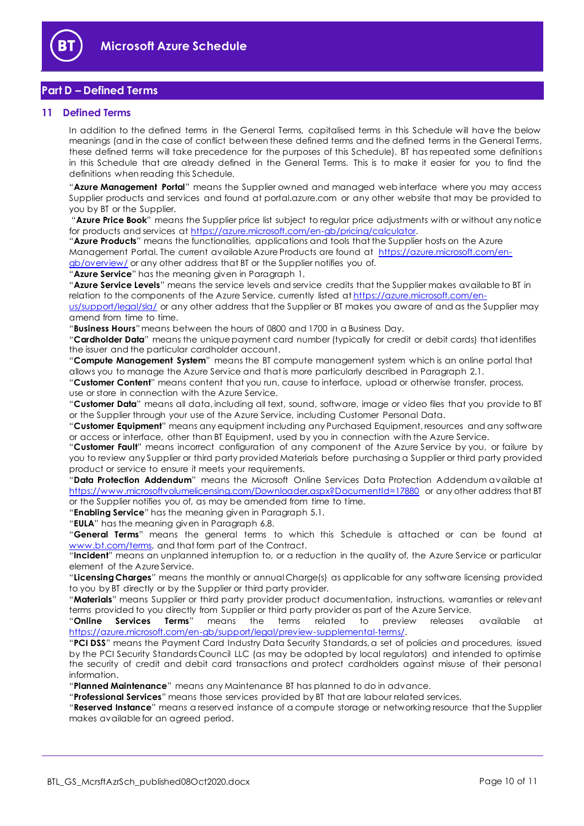

## <span id="page-9-0"></span>**Part D – Defined Terms**

#### <span id="page-9-1"></span>**11 Defined Terms**

In addition to the defined terms in the General Terms, capitalised terms in this Schedule will have the below meanings (and in the case of conflict between these defined terms and the defined terms in the General Terms, these defined terms will take precedence for the purposes of this Schedule). BT has repeated some definitions in this Schedule that are already defined in the General Terms. This is to make it easier for you to find the definitions when reading this Schedule.

"**Azure Management Portal**" means the Supplier owned and managed web interface where you may access Supplier products and services and found at portal.azure.com or any other website that may be provided to you by BT or the Supplier.

"**Azure Price Book**" means the Supplier price list subject to regular price adjustments with or without any notice for products and services at [https://azure.microsoft.com/en-gb/pricing/calculator.](https://azure.microsoft.com/en-gb/pricing/calculator)

"**Azure Products**" means the functionalities, applications and tools that the Supplier hosts on the Azure Management Portal. The current available Azure Products are found at [https://azure.microsoft.com/en](https://azure.microsoft.com/en-gb/overview/)[gb/overview/](https://azure.microsoft.com/en-gb/overview/) or any other address that BT or the Supplier notifies you of.

"**Azure Service**" has the meaning given in Paragraph [1.](#page-1-3) 

"**Azure Service Levels**" means the service levels and service credits that the Supplier makes available to BT in relation to the components of the Azure Service, currently listed a[t https://azure.microsoft.com/en-](https://azure.microsoft.com/en-us/support/legal/sla/)

[us/support/legal/sla/](https://azure.microsoft.com/en-us/support/legal/sla/) or any other address that the Supplier or BT makes you aware of and as the Supplier may amend from time to time.

"**Business Hours**" means between the hours of 0800 and 1700 in a Business Day.

"**Cardholder Data**" means the unique payment card number (typically for credit or debit cards) that identifies the issuer and the particular cardholder account.

"**Compute Management System**" means the BT compute management system which is an online portal that allows you to manage the Azure Service and that is more particularly described in Paragraph 2.1.

"**Customer Content**" means content that you run, cause to interface, upload or otherwise transfer, process, use or store in connection with the Azure Service.

"**Customer Data**" means all data, including all text, sound, software, image or video files that you provide to BT or the Supplier through your use of the Azure Service, including Customer Personal Data.

"**Customer Equipment**" means any equipment including any Purchased Equipment, resources and any software or access or interface, other than BT Equipment, used by you in connection with the Azure Service.

"**Customer Fault**" means incorrect configuration of any component of the Azure Service by you, or failure by you to review any Supplier or third party provided Materials before purchasing a Supplier or third party provided product or service to ensure it meets your requirements.

"**Data Protection Addendum**" means the Microsoft Online Services Data Protection Addendum available at <https://www.microsoftvolumelicensing.com/Downloader.aspx?DocumentId=17880> or any other address that BT or the Supplier notifies you of, as may be amended from time to time.

"**Enabling Service**" has the meaning given in Paragraph [5.1.](#page-2-3)

"**EULA**" has the meaning given in Paragraph [6.8.](#page-3-0)

"**General Terms**" means the general terms to which this Schedule is attached or can be found at [www.bt.com/terms,](http://www.bt.com/terms) and that form part of the Contract.

"**Incident**" means an unplanned interruption to, or a reduction in the quality of, the Azure Service or particular element of the Azure Service.

"**Licensing Charges**" means the monthly or annual Charge(s) as applicable for any software licensing provided to you by BT directly or by the Supplier or third party provider.

"**Materials**" means Supplier or third party provider product documentation, instructions, warranties or relevant terms provided to you directly from Supplier or third party provider as part of the Azure Service.

"**Online Services Terms**" means the terms related to preview releases available at [https://azure.microsoft.com/en-gb/support/legal/preview-supplemental-terms/.](https://azure.microsoft.com/en-gb/support/legal/preview-supplemental-terms/)

"**PCI DSS**" means the Payment Card Industry Data Security Standards, a set of policies and procedures, issued by the PCI Security Standards Council LLC (as may be adopted by local regulators) and intended to optimise the security of credit and debit card transactions and protect cardholders against misuse of their personal information.

"**Planned Maintenance**" means any Maintenance BT has planned to do in advance.

"**Professional Services**" means those services provided by BT that are labour related services.

"**Reserved Instance**" means a reserved instance of a compute storage or networking resource that the Supplier makes available for an agreed period.